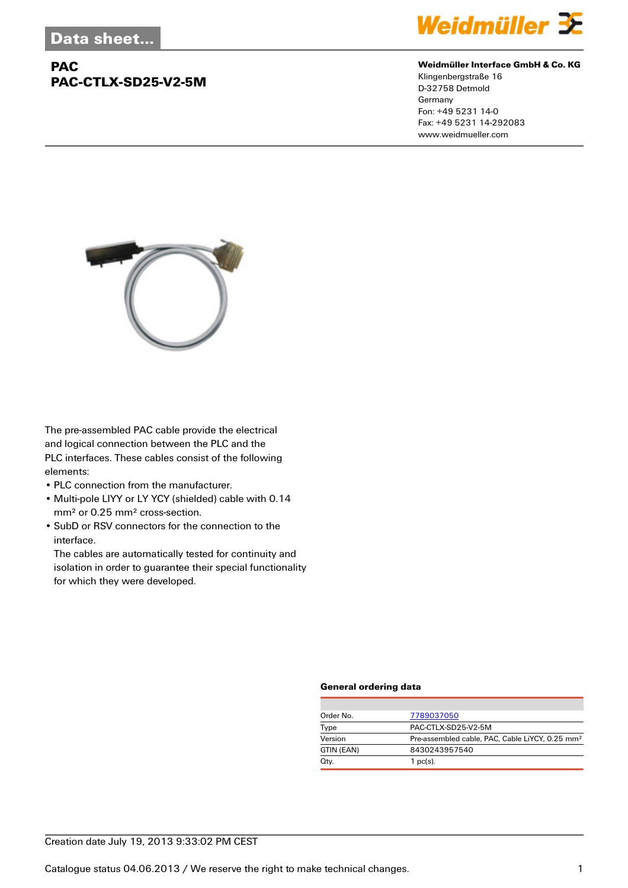## **PAC PAC-CTLX-SD25-V2-5M**



#### **Weidmüller Interface GmbH & Co. KG**

Klingenbergstraße 16 D-32758 Detmold Germany Fon: +49 5231 14-0 Fax: +49 5231 14-292083 www.weidmueller.com



The pre-assembled PAC cable provide the electrical and logical connection between the PLC and the PLC interfaces. These cables consist of the following elements:

- PLC connection from the manufacturer.
- Multi-pole LIYY or LY YCY (shielded) cable with 0.14 mm² or 0.25 mm² cross-section.
- SubD or RSV connectors for the connection to the interface.

The cables are automatically tested for continuity and isolation in order to guarantee their special functionality for which they were developed.

#### **General ordering data**

| Order No.  | 7789037050                                                  |
|------------|-------------------------------------------------------------|
| Type       | PAC-CTLX-SD25-V2-5M                                         |
| Version    | Pre-assembled cable, PAC, Cable LiYCY, 0.25 mm <sup>2</sup> |
| GTIN (EAN) | 8430243957540                                               |
| Qty.       | 1 $pc(s)$ .                                                 |